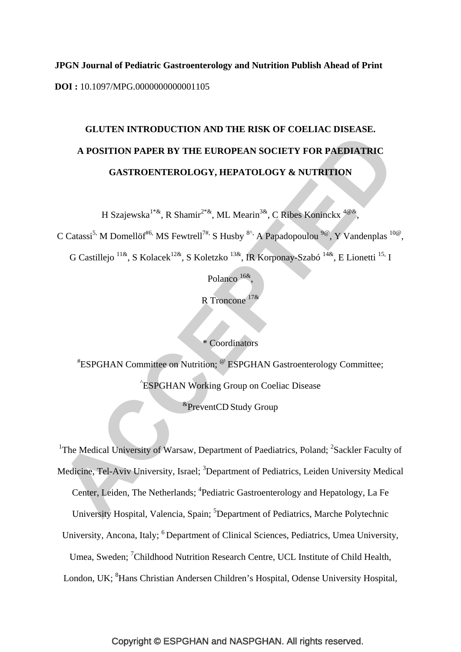**JPGN Journal of Pediatric Gastroenterology and Nutrition Publish Ahead of Print DOI :** 10.1097/MPG.0000000000001105

# **GLUTEN INTRODUCTION AND THE RISK OF COELIAC DISEASE. A POSITION PAPER BY THE EUROPEAN SOCIETY FOR PAEDIATRIC GASTROENTEROLOGY, HEPATOLOGY & NUTRITION**

H Szajewska<sup>1\*&</sup>, R Shamir<sup>2\*&</sup>, ML Mearin<sup>3&</sup>, C Ribes Koninckx<sup>4@&</sup>,

C Catassi<sup>5,</sup> M Domellöf<sup>#6,</sup> MS Fewtrell<sup>7#,</sup> S Husby <sup>8^</sup>, A Papadopoulou <sup>9@</sup>, Y Vandenplas <sup>10@</sup>,

G Castillejo  $^{11\&}$ , S Kolacek<sup>12&</sup>, S Koletzko  $^{13\&}$ , IR Korponay-Szabó  $^{14\&}$ , E Lionetti  $^{15}$ . I

Polanco<sup>16&</sup>

R Troncone 17&

\* Coordinators

# ESPGHAN Committee on Nutrition; @ ESPGHAN Gastroenterology Committee; ^ ESPGHAN Working Group on Coeliac Disease

&PreventCD Study Group

<sup>1</sup>The Medical University of Warsaw, Department of Paediatrics, Poland; <sup>2</sup>Sackler Faculty of Medicine, Tel-Aviv University, Israel; <sup>3</sup>Department of Pediatrics, Leiden University Medical Center, Leiden, The Netherlands; <sup>4</sup>Pediatric Gastroenterology and Hepatology, La Fe University Hospital, Valencia, Spain; <sup>5</sup>Department of Pediatrics, Marche Polytechnic

University, Ancona, Italy; <sup>6</sup> Department of Clinical Sciences, Pediatrics, Umea University,

Umea, Sweden; <sup>7</sup>Childhood Nutrition Research Centre, UCL Institute of Child Health,

London, UK; <sup>8</sup>Hans Christian Andersen Children's Hospital, Odense University Hospital,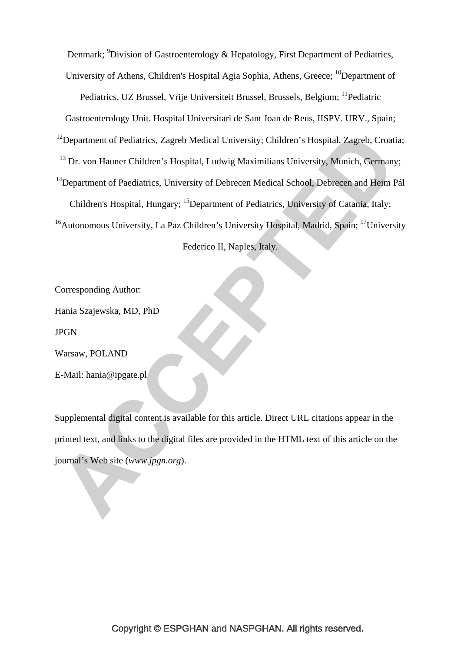Denmark; <sup>9</sup>Division of Gastroenterology & Hepatology, First Department of Pediatrics,

University of Athens, Children's Hospital Agia Sophia, Athens, Greece; <sup>10</sup>Department of

Pediatrics, UZ Brussel, Vrije Universiteit Brussel, Brussels, Belgium; <sup>11</sup>Pediatric

Gastroenterology Unit. Hospital Universitari de Sant Joan de Reus, IISPV. URV., Spain;

 $12$ Department of Pediatrics, Zagreb Medical University; Children's Hospital, Zagreb, Croatia;

<sup>13</sup> Dr. von Hauner Children's Hospital, Ludwig Maximilians University, Munich, Germany;

<sup>14</sup>Department of Paediatrics, University of Debrecen Medical School, Debrecen and Heim Pál Children's Hospital, Hungary; <sup>15</sup>Department of Pediatrics, University of Catania, Italy;

 $16A$ utonomous University, La Paz Children's University Hospital, Madrid, Spain;  $17$ University Federico II, Naples, Italy.

Corresponding Author:

Hania Szajewska, MD, PhD

JPGN

Warsaw, POLAND

E-Mail: hania@ipgate.pl

Supplemental digital content is available for this article. Direct URL citations appear in the printed text, and links to the digital files are provided in the HTML text of this article on the journal's Web site (*www.jpgn.org*).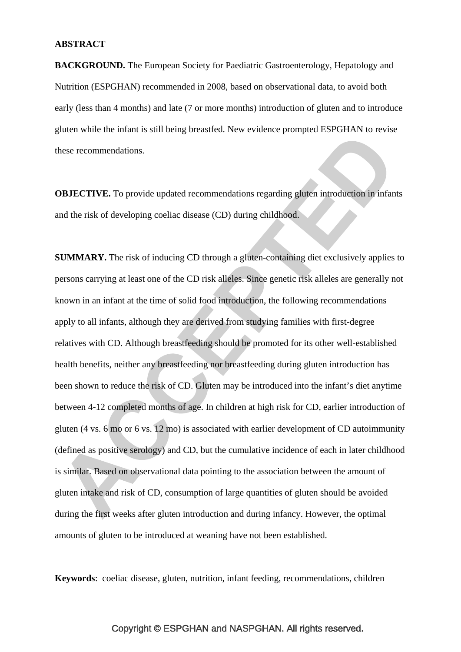#### **ABSTRACT**

**BACKGROUND.** The European Society for Paediatric Gastroenterology, Hepatology and Nutrition (ESPGHAN) recommended in 2008, based on observational data, to avoid both early (less than 4 months) and late (7 or more months) introduction of gluten and to introduce gluten while the infant is still being breastfed. New evidence prompted ESPGHAN to revise these recommendations.

**OBJECTIVE.** To provide updated recommendations regarding gluten introduction in infants and the risk of developing coeliac disease (CD) during childhood.

**SUMMARY.** The risk of inducing CD through a gluten-containing diet exclusively applies to persons carrying at least one of the CD risk alleles. Since genetic risk alleles are generally not known in an infant at the time of solid food introduction, the following recommendations apply to all infants, although they are derived from studying families with first-degree relatives with CD. Although breastfeeding should be promoted for its other well-established health benefits, neither any breastfeeding nor breastfeeding during gluten introduction has been shown to reduce the risk of CD. Gluten may be introduced into the infant's diet anytime between 4-12 completed months of age. In children at high risk for CD, earlier introduction of gluten (4 vs. 6 mo or 6 vs. 12 mo) is associated with earlier development of CD autoimmunity (defined as positive serology) and CD, but the cumulative incidence of each in later childhood is similar. Based on observational data pointing to the association between the amount of gluten intake and risk of CD, consumption of large quantities of gluten should be avoided during the first weeks after gluten introduction and during infancy. However, the optimal amounts of gluten to be introduced at weaning have not been established.

**Keywords**: coeliac disease, gluten, nutrition, infant feeding, recommendations, children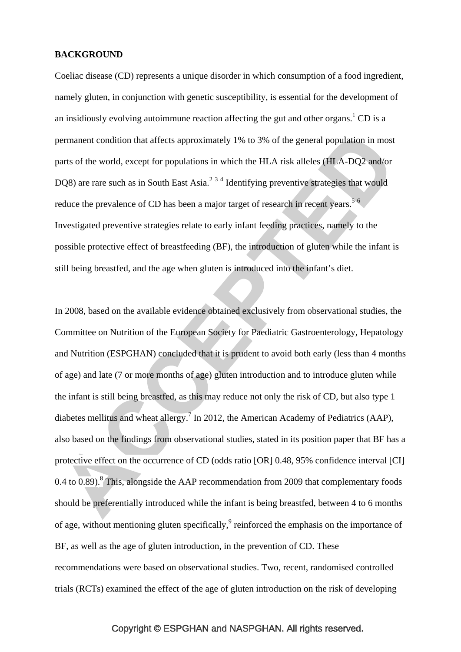#### **BACKGROUND**

Coeliac disease (CD) represents a unique disorder in which consumption of a food ingredient, namely gluten, in conjunction with genetic susceptibility, is essential for the development of an insidiously evolving autoimmune reaction affecting the gut and other organs.<sup>1</sup> CD is a permanent condition that affects approximately 1% to 3% of the general population in most parts of the world, except for populations in which the HLA risk alleles (HLA-DQ2 and/or DQ8) are rare such as in South East Asia. $^{234}$  Identifying preventive strategies that would reduce the prevalence of CD has been a major target of research in recent years.<sup>56</sup> Investigated preventive strategies relate to early infant feeding practices, namely to the possible protective effect of breastfeeding (BF), the introduction of gluten while the infant is still being breastfed, and the age when gluten is introduced into the infant's diet.

In 2008, based on the available evidence obtained exclusively from observational studies, the Committee on Nutrition of the European Society for Paediatric Gastroenterology, Hepatology and Nutrition (ESPGHAN) concluded that it is prudent to avoid both early (less than 4 months of age) and late (7 or more months of age) gluten introduction and to introduce gluten while the infant is still being breastfed, as this may reduce not only the risk of CD, but also type 1 diabetes mellitus and wheat allergy.<sup>7</sup> In 2012, the American Academy of Pediatrics (AAP), also based on the findings from observational studies, stated in its position paper that BF has a protective effect on the occurrence of CD (odds ratio [OR] 0.48, 95% confidence interval [CI]  $0.4$  to  $\overline{0.89}$ ).<sup>8</sup> This, alongside the AAP recommendation from 2009 that complementary foods should be preferentially introduced while the infant is being breastfed, between 4 to 6 months of age, without mentioning gluten specifically, $9$  reinforced the emphasis on the importance of BF, as well as the age of gluten introduction, in the prevention of CD. These recommendations were based on observational studies. Two, recent, randomised controlled trials (RCTs) examined the effect of the age of gluten introduction on the risk of developing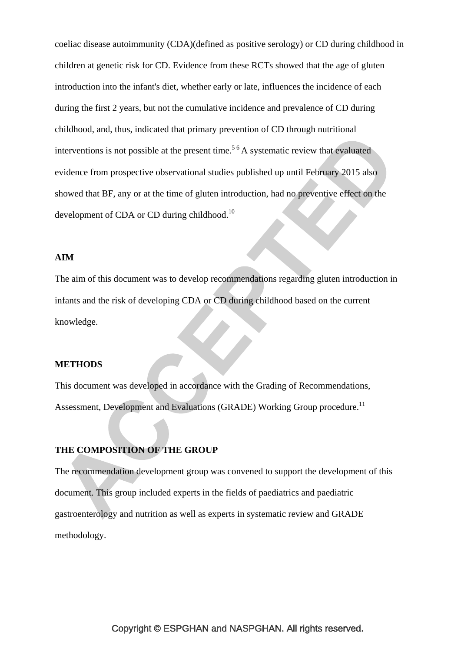coeliac disease autoimmunity (CDA)(defined as positive serology) or CD during childhood in children at genetic risk for CD. Evidence from these RCTs showed that the age of gluten introduction into the infant's diet, whether early or late, influences the incidence of each during the first 2 years, but not the cumulative incidence and prevalence of CD during childhood, and, thus, indicated that primary prevention of CD through nutritional interventions is not possible at the present time.<sup>5  $6$ </sup> A systematic review that evaluated evidence from prospective observational studies published up until February 2015 also showed that BF, any or at the time of gluten introduction, had no preventive effect on the development of CDA or CD during childhood.<sup>10</sup>

#### **AIM**

The aim of this document was to develop recommendations regarding gluten introduction in infants and the risk of developing CDA or CD during childhood based on the current knowledge.

## **METHODS**

This document was developed in accordance with the Grading of Recommendations, Assessment, Development and Evaluations (GRADE) Working Group procedure.<sup>11</sup>

## **THE COMPOSITION OF THE GROUP**

The recommendation development group was convened to support the development of this document. This group included experts in the fields of paediatrics and paediatric gastroenterology and nutrition as well as experts in systematic review and GRADE methodology.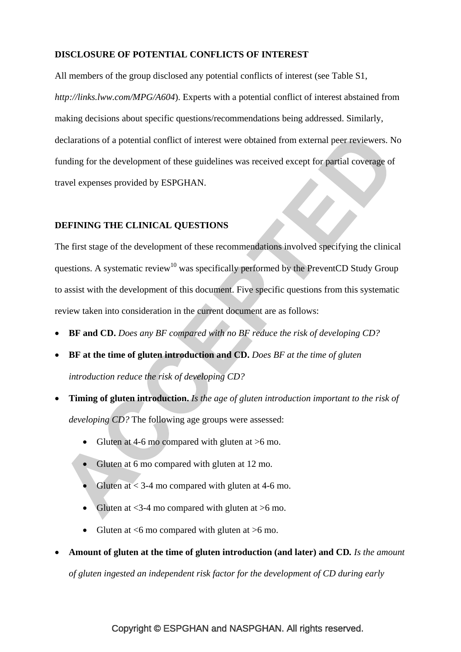## **DISCLOSURE OF POTENTIAL CONFLICTS OF INTEREST**

All members of the group disclosed any potential conflicts of interest (see Table S1, *http://links.lww.com/MPG/A604*). Experts with a potential conflict of interest abstained from making decisions about specific questions/recommendations being addressed. Similarly, declarations of a potential conflict of interest were obtained from external peer reviewers. No funding for the development of these guidelines was received except for partial coverage of travel expenses provided by ESPGHAN.

## **DEFINING THE CLINICAL QUESTIONS**

The first stage of the development of these recommendations involved specifying the clinical questions. A systematic review<sup>10</sup> was specifically performed by the PreventCD Study Group to assist with the development of this document. Five specific questions from this systematic review taken into consideration in the current document are as follows:

- **BF and CD.** *Does any BF compared with no BF reduce the risk of developing CD?*
- **BF at the time of gluten introduction and CD.** *Does BF at the time of gluten introduction reduce the risk of developing CD?*
- **Timing of gluten introduction.** *Is the age of gluten introduction important to the risk of developing CD?* The following age groups were assessed:
	- Gluten at 4-6 mo compared with gluten at  $>6$  mo.
	- Gluten at 6 mo compared with gluten at 12 mo.
	- Gluten at  $<$  3-4 mo compared with gluten at 4-6 mo.
	- Gluten at  $<$ 3-4 mo compared with gluten at  $>$ 6 mo.
	- Gluten at  $<6$  mo compared with gluten at  $>6$  mo.

# • **Amount of gluten at the time of gluten introduction (and later) and CD***. Is the amount*

*of gluten ingested an independent risk factor for the development of CD during early*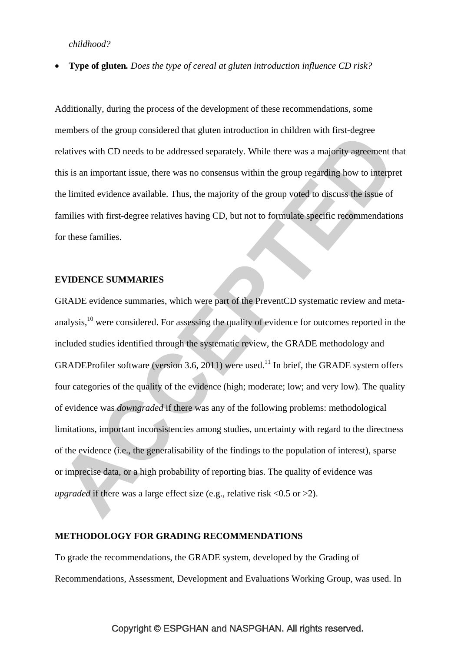*childhood?*

• **Type of gluten***. Does the type of cereal at gluten introduction influence CD risk?*

Additionally, during the process of the development of these recommendations, some members of the group considered that gluten introduction in children with first-degree relatives with CD needs to be addressed separately. While there was a majority agreement that this is an important issue, there was no consensus within the group regarding how to interpret the limited evidence available. Thus, the majority of the group voted to discuss the issue of families with first-degree relatives having CD, but not to formulate specific recommendations for these families.

#### **EVIDENCE SUMMARIES**

GRADE evidence summaries, which were part of the PreventCD systematic review and metaanalysis,<sup>10</sup> were considered. For assessing the quality of evidence for outcomes reported in the included studies identified through the systematic review, the GRADE methodology and GRADEProfiler software (version 3.6, 2011) were used.<sup>11</sup> In brief, the GRADE system offers four categories of the quality of the evidence (high; moderate; low; and very low). The quality of evidence was *downgraded* if there was any of the following problems: methodological limitations, important inconsistencies among studies, uncertainty with regard to the directness of the evidence (i.e., the generalisability of the findings to the population of interest), sparse or imprecise data, or a high probability of reporting bias. The quality of evidence was *upgraded* if there was a large effect size (e.g., relative risk  $\langle 0.5 \text{ or } \rangle 2$ ).

#### **METHODOLOGY FOR GRADING RECOMMENDATIONS**

To grade the recommendations, the GRADE system, developed by the Grading of Recommendations, Assessment, Development and Evaluations Working Group, was used. In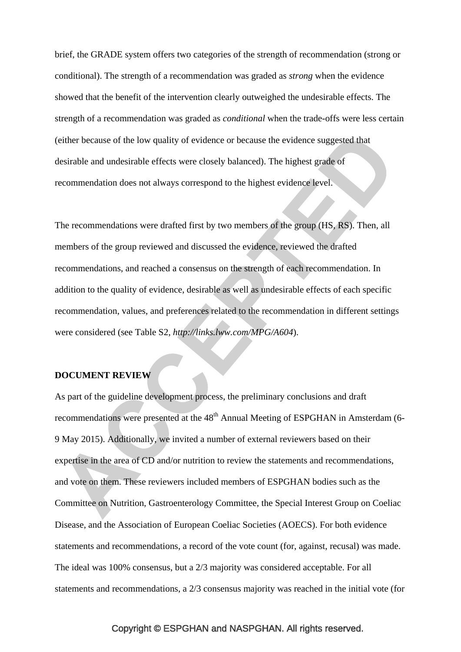brief, the GRADE system offers two categories of the strength of recommendation (strong or conditional). The strength of a recommendation was graded as *strong* when the evidence showed that the benefit of the intervention clearly outweighed the undesirable effects. The strength of a recommendation was graded as *conditional* when the trade-offs were less certain (either because of the low quality of evidence or because the evidence suggested that desirable and undesirable effects were closely balanced). The highest grade of recommendation does not always correspond to the highest evidence level.

The recommendations were drafted first by two members of the group (HS, RS). Then, all members of the group reviewed and discussed the evidence, reviewed the drafted recommendations, and reached a consensus on the strength of each recommendation. In addition to the quality of evidence, desirable as well as undesirable effects of each specific recommendation, values, and preferences related to the recommendation in different settings were considered (see Table S2, *http://links.lww.com/MPG/A604*).

#### **DOCUMENT REVIEW**

As part of the guideline development process, the preliminary conclusions and draft recommendations were presented at the 48<sup>th</sup> Annual Meeting of ESPGHAN in Amsterdam (6-9 May 2015). Additionally, we invited a number of external reviewers based on their expertise in the area of CD and/or nutrition to review the statements and recommendations, and vote on them. These reviewers included members of ESPGHAN bodies such as the Committee on Nutrition, Gastroenterology Committee, the Special Interest Group on Coeliac Disease, and the Association of European Coeliac Societies (AOECS). For both evidence statements and recommendations, a record of the vote count (for, against, recusal) was made. The ideal was 100% consensus, but a 2/3 majority was considered acceptable. For all statements and recommendations, a 2/3 consensus majority was reached in the initial vote (for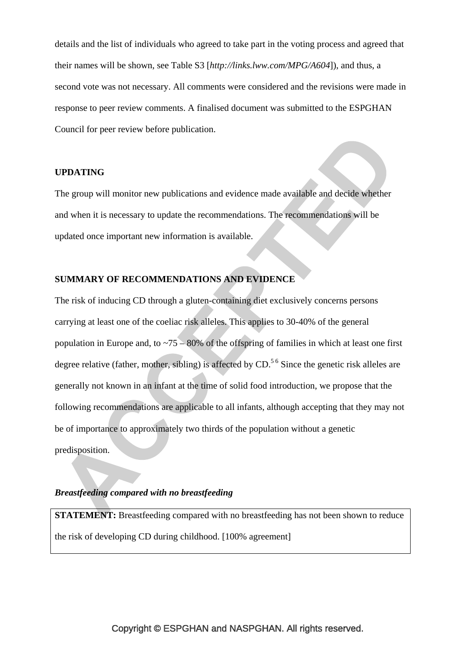details and the list of individuals who agreed to take part in the voting process and agreed that their names will be shown, see Table S3 [*http://links.lww.com/MPG/A604*]), and thus, a second vote was not necessary. All comments were considered and the revisions were made in response to peer review comments. A finalised document was submitted to the ESPGHAN Council for peer review before publication.

#### **UPDATING**

The group will monitor new publications and evidence made available and decide whether and when it is necessary to update the recommendations. The recommendations will be updated once important new information is available.

## **SUMMARY OF RECOMMENDATIONS AND EVIDENCE**

The risk of inducing CD through a gluten-containing diet exclusively concerns persons carrying at least one of the coeliac risk alleles. This applies to 30-40% of the general population in Europe and, to  $\approx 75 - 80\%$  of the offspring of families in which at least one first degree relative (father, mother, sibling) is affected by  $CD<sup>56</sup>$  Since the genetic risk alleles are generally not known in an infant at the time of solid food introduction, we propose that the following recommendations are applicable to all infants, although accepting that they may not be of importance to approximately two thirds of the population without a genetic predisposition.

#### *Breastfeeding compared with no breastfeeding*

**STATEMENT:** Breastfeeding compared with no breastfeeding has not been shown to reduce the risk of developing CD during childhood. [100% agreement]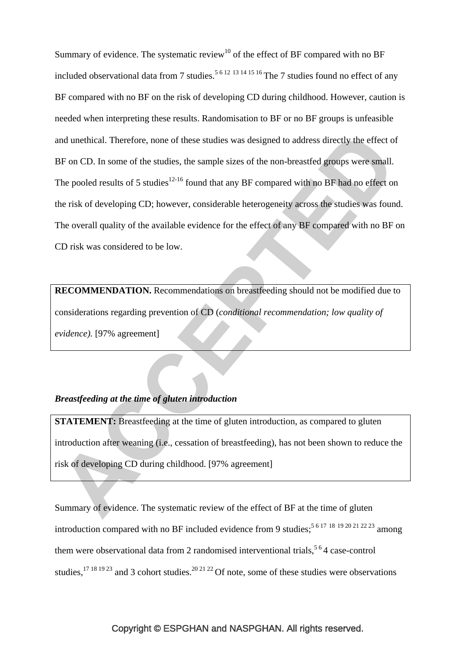Summary of evidence. The systematic review<sup>10</sup> of the effect of BF compared with no BF included observational data from 7 studies.<sup>5 6 12 13 14 15 16</sup> The 7 studies found no effect of any BF compared with no BF on the risk of developing CD during childhood. However, caution is needed when interpreting these results. Randomisation to BF or no BF groups is unfeasible and unethical. Therefore, none of these studies was designed to address directly the effect of BF on CD. In some of the studies, the sample sizes of the non-breastfed groups were small. The pooled results of 5 studies<sup>12-16</sup> found that any BF compared with no BF had no effect on the risk of developing CD; however, considerable heterogeneity across the studies was found. The overall quality of the available evidence for the effect of any BF compared with no BF on CD risk was considered to be low.

**RECOMMENDATION.** Recommendations on breastfeeding should not be modified due to considerations regarding prevention of CD (*conditional recommendation; low quality of evidence).* [97% agreement]

# *Breastfeeding at the time of gluten introduction*

**STATEMENT:** Breastfeeding at the time of gluten introduction, as compared to gluten introduction after weaning (i.e., cessation of breastfeeding), has not been shown to reduce the risk of developing CD during childhood. [97% agreement]

Summary of evidence. The systematic review of the effect of BF at the time of gluten introduction compared with no BF included evidence from 9 studies;<sup>5 6 17 18 19 20 21 22 23</sup> among them were observational data from 2 randomised interventional trials,  $5\degree$  4 case-control studies,  $17181923$  and 3 cohort studies.  $202122$  Of note, some of these studies were observations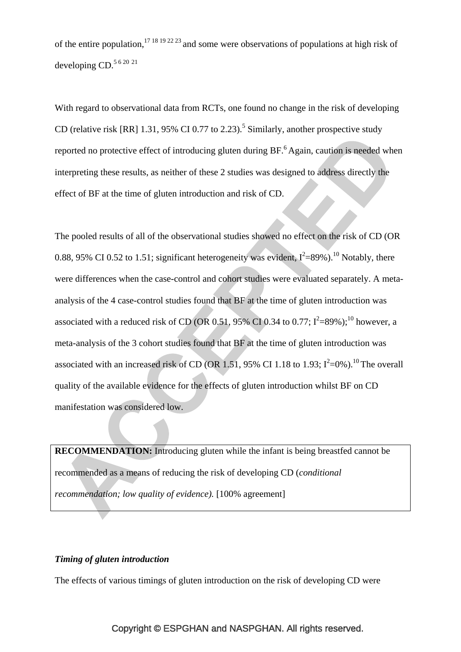of the entire population,  $1718192223$  and some were observations of populations at high risk of developing CD.<sup>5 6 20 21</sup>

With regard to observational data from RCTs, one found no change in the risk of developing CD (relative risk [RR]  $1.31$ , 95% CI 0.77 to 2.23).<sup>5</sup> Similarly, another prospective study reported no protective effect of introducing gluten during BF.<sup>6</sup> Again, caution is needed when interpreting these results, as neither of these 2 studies was designed to address directly the effect of BF at the time of gluten introduction and risk of CD.

The pooled results of all of the observational studies showed no effect on the risk of CD (OR 0.88, 95% CI 0.52 to 1.51; significant heterogeneity was evident,  $I^2$ =89%).<sup>10</sup> Notably, there were differences when the case-control and cohort studies were evaluated separately. A metaanalysis of the 4 case-control studies found that BF at the time of gluten introduction was associated with a reduced risk of CD (OR 0.51, 95% CI 0.34 to 0.77;  $I^2 = 89\%$ );<sup>10</sup> however, a meta-analysis of the 3 cohort studies found that BF at the time of gluten introduction was associated with an increased risk of CD (OR 1.51, 95% CI 1.18 to 1.93;  $I^2=0\%$ ).<sup>10</sup> The overall quality of the available evidence for the effects of gluten introduction whilst BF on CD manifestation was considered low.

**RECOMMENDATION:** Introducing gluten while the infant is being breastfed cannot be recommended as a means of reducing the risk of developing CD (*conditional recommendation; low quality of evidence).* [100% agreement]

# *Timing of gluten introduction*

The effects of various timings of gluten introduction on the risk of developing CD were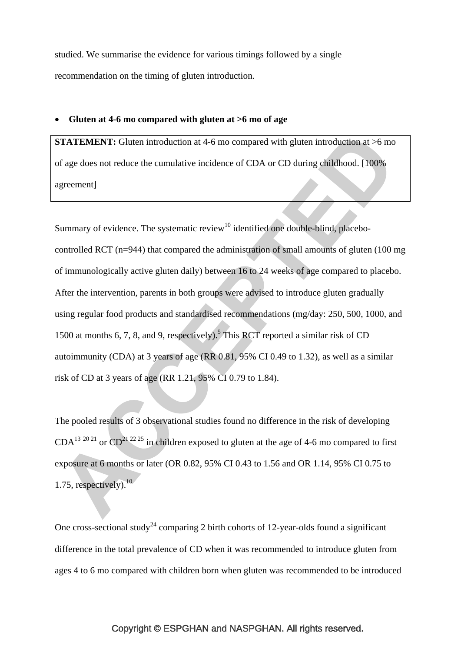studied. We summarise the evidence for various timings followed by a single recommendation on the timing of gluten introduction.

#### • **Gluten at 4-6 mo compared with gluten at >6 mo of age**

**STATEMENT:** Gluten introduction at 4-6 mo compared with gluten introduction at  $>6$  mo of age does not reduce the cumulative incidence of CDA or CD during childhood. [100% agreement]

Summary of evidence. The systematic review<sup>10</sup> identified one double-blind, placebocontrolled RCT (n=944) that compared the administration of small amounts of gluten (100 mg of immunologically active gluten daily) between 16 to 24 weeks of age compared to placebo. After the intervention, parents in both groups were advised to introduce gluten gradually using regular food products and standardised recommendations (mg/day: 250, 500, 1000, and 1500 at months 6, 7, 8, and 9, respectively).<sup>5</sup> This RCT reported a similar risk of CD autoimmunity (CDA) at 3 years of age (RR 0.81, 95% CI 0.49 to 1.32), as well as a similar risk of CD at 3 years of age (RR 1.21, 95% CI 0.79 to 1.84).

The pooled results of 3 observational studies found no difference in the risk of developing  $CDA<sup>13 20 21</sup>$  or  $CD<sup>21 22 25</sup>$  in children exposed to gluten at the age of 4-6 mo compared to first exposure at 6 months or later (OR 0.82, 95% CI 0.43 to 1.56 and OR 1.14, 95% CI 0.75 to 1.75, respectively). $10<sup>10</sup>$ 

One cross-sectional study<sup>24</sup> comparing 2 birth cohorts of 12-year-olds found a significant difference in the total prevalence of CD when it was recommended to introduce gluten from ages 4 to 6 mo compared with children born when gluten was recommended to be introduced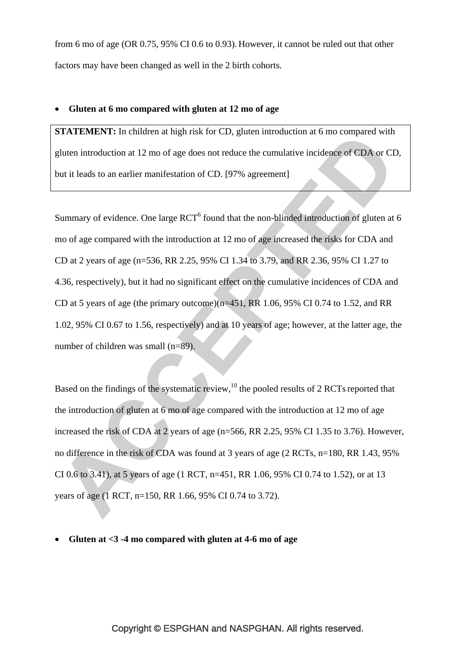from 6 mo of age (OR 0.75, 95% CI 0.6 to 0.93). However, it cannot be ruled out that other factors may have been changed as well in the 2 birth cohorts.

#### • **Gluten at 6 mo compared with gluten at 12 mo of age**

**STATEMENT:** In children at high risk for CD, gluten introduction at 6 mo compared with gluten introduction at 12 mo of age does not reduce the cumulative incidence of CDA or CD, but it leads to an earlier manifestation of CD. [97% agreement]

Summary of evidence. One large  $RCT^6$  found that the non-blinded introduction of gluten at 6 mo of age compared with the introduction at 12 mo of age increased the risks for CDA and CD at 2 years of age (n=536, RR 2.25, 95% CI 1.34 to 3.79, and RR 2.36, 95% CI 1.27 to 4.36, respectively), but it had no significant effect on the cumulative incidences of CDA and CD at 5 years of age (the primary outcome) $(n=451, RR 1.06, 95\% \text{ CI } 0.74 \text{ to } 1.52, \text{ and RR}$ 1.02, 95% CI 0.67 to 1.56, respectively) and at 10 years of age; however, at the latter age, the number of children was small (n=89).

Based on the findings of the systematic review, $^{10}$  the pooled results of 2 RCTs reported that the introduction of gluten at 6 mo of age compared with the introduction at 12 mo of age increased the risk of CDA at 2 years of age (n=566, RR 2.25, 95% CI 1.35 to 3.76). However, no difference in the risk of CDA was found at 3 years of age (2 RCTs, n=180, RR 1.43, 95% CI 0.6 to 3.41), at 5 years of age (1 RCT, n=451, RR 1.06, 95% CI 0.74 to 1.52), or at 13 years of age (1 RCT, n=150, RR 1.66, 95% CI 0.74 to 3.72).

• **Gluten at <3 -4 mo compared with gluten at 4-6 mo of age**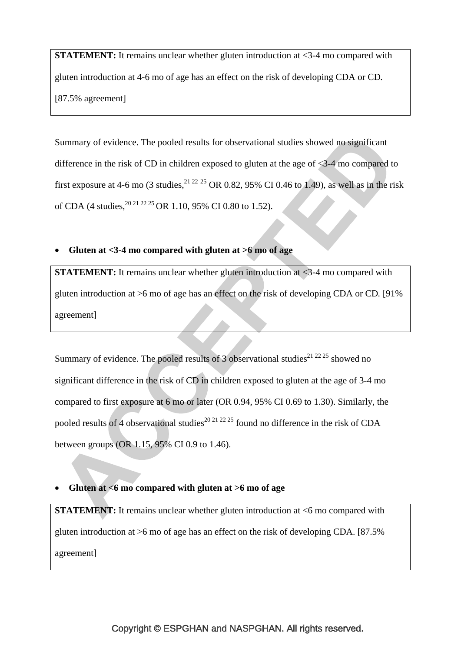**STATEMENT:** It remains unclear whether gluten introduction at <3-4 mo compared with gluten introduction at 4-6 mo of age has an effect on the risk of developing CDA or CD*.*  [87.5% agreement]

Summary of evidence. The pooled results for observational studies showed no significant difference in the risk of CD in children exposed to gluten at the age of <3-4 mo compared to first exposure at 4-6 mo (3 studies,  $^{21 22 25}$  OR 0.82, 95% CI 0.46 to 1.49), as well as in the risk of CDA (4 studies,  $^{20\,21\,22\,25}$  OR 1.10, 95% CI 0.80 to 1.52).

# • **Gluten at <3-4 mo compared with gluten at >6 mo of age**

**STATEMENT:** It remains unclear whether gluten introduction at <3-4 mo compared with gluten introduction at >6 mo of age has an effect on the risk of developing CDA or CD*.* [91% agreement]

Summary of evidence. The pooled results of 3 observational studies<sup>21 22 25</sup> showed no significant difference in the risk of CD in children exposed to gluten at the age of 3-4 mo compared to first exposure at 6 mo or later (OR 0.94, 95% CI 0.69 to 1.30). Similarly, the pooled results of 4 observational studies<sup>20 21 22 25</sup> found no difference in the risk of CDA between groups (OR 1.15, 95% CI 0.9 to 1.46).

# • **Gluten at <6 mo compared with gluten at >6 mo of age**

**STATEMENT:** It remains unclear whether gluten introduction at  $\leq 6$  mo compared with gluten introduction at >6 mo of age has an effect on the risk of developing CDA. [87.5% agreement]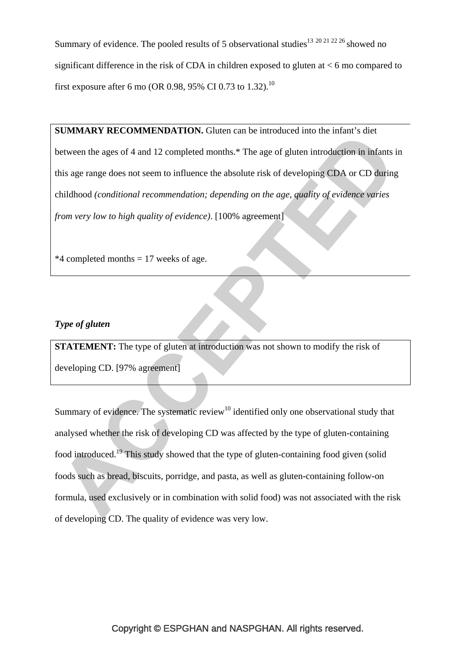Summary of evidence. The pooled results of 5 observational studies<sup>13 20 21 22 26</sup> showed no significant difference in the risk of CDA in children exposed to gluten at  $< 6$  mo compared to first exposure after 6 mo (OR 0.98, 95% CI 0.73 to 1.32).<sup>10</sup>

**SUMMARY RECOMMENDATION.** Gluten can be introduced into the infant's diet between the ages of 4 and 12 completed months.\* The age of gluten introduction in infants in this age range does not seem to influence the absolute risk of developing CDA or CD during childhood *(conditional recommendation; depending on the age, quality of evidence varies from very low to high quality of evidence)*. [100% agreement]

 $*4$  completed months = 17 weeks of age.

# *Type of gluten*

**STATEMENT:** The type of gluten at introduction was not shown to modify the risk of developing CD. [97% agreement]

Summary of evidence. The systematic review<sup>10</sup> identified only one observational study that analysed whether the risk of developing CD was affected by the type of gluten-containing food introduced.19 This study showed that the type of gluten-containing food given (solid foods such as bread, biscuits, porridge, and pasta, as well as gluten-containing follow-on formula, used exclusively or in combination with solid food) was not associated with the risk of developing CD. The quality of evidence was very low.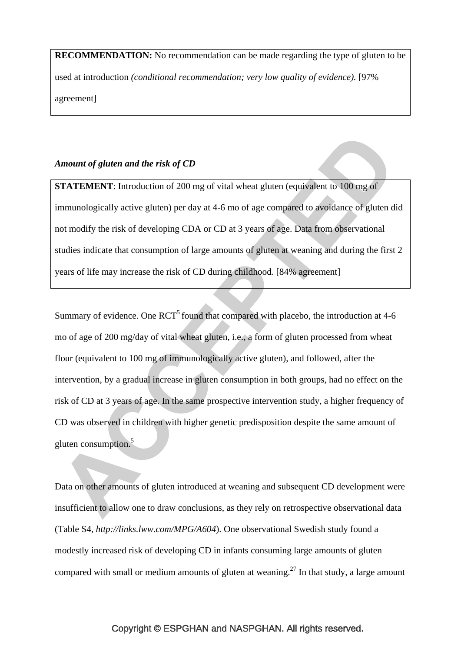**RECOMMENDATION:** No recommendation can be made regarding the type of gluten to be used at introduction *(conditional recommendation; very low quality of evidence).* [97% agreement]

# *Amount of gluten and the risk of CD*

**STATEMENT:** Introduction of 200 mg of vital wheat gluten (equivalent to 100 mg of immunologically active gluten) per day at 4-6 mo of age compared to avoidance of gluten did not modify the risk of developing CDA or CD at 3 years of age. Data from observational studies indicate that consumption of large amounts of gluten at weaning and during the first 2 years of life may increase the risk of CD during childhood. [84% agreement]

Summary of evidence. One RCT<sup>5</sup> found that compared with placebo, the introduction at 4-6 mo of age of 200 mg/day of vital wheat gluten, i.e., a form of gluten processed from wheat flour (equivalent to 100 mg of immunologically active gluten), and followed, after the intervention, by a gradual increase in gluten consumption in both groups, had no effect on the risk of CD at 3 years of age. In the same prospective intervention study, a higher frequency of CD was observed in children with higher genetic predisposition despite the same amount of gluten consumption.<sup>5</sup>

Data on other amounts of gluten introduced at weaning and subsequent CD development were insufficient to allow one to draw conclusions, as they rely on retrospective observational data (Table S4, *http://links.lww.com/MPG/A604*). One observational Swedish study found a modestly increased risk of developing CD in infants consuming large amounts of gluten compared with small or medium amounts of gluten at weaning.<sup>27</sup> In that study, a large amount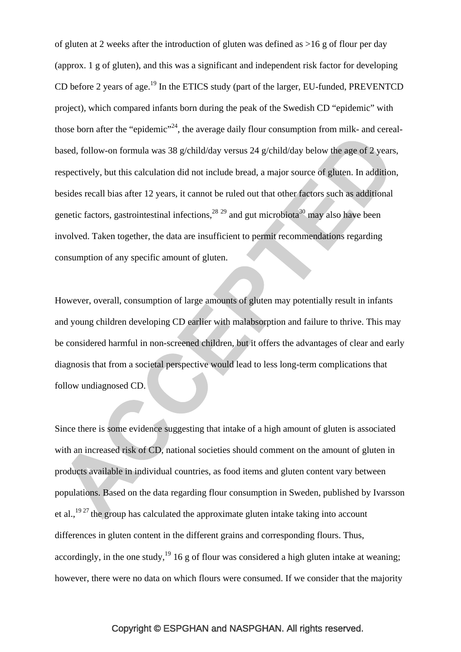of gluten at 2 weeks after the introduction of gluten was defined as >16 g of flour per day (approx. 1 g of gluten), and this was a significant and independent risk factor for developing CD before 2 years of age.<sup>19</sup> In the ETICS study (part of the larger, EU-funded, PREVENTCD project), which compared infants born during the peak of the Swedish CD "epidemic" with those born after the "epidemic"<sup>24</sup>, the average daily flour consumption from milk- and cerealbased, follow-on formula was 38 g/child/day versus 24 g/child/day below the age of 2 years, respectively, but this calculation did not include bread, a major source of gluten. In addition, besides recall bias after 12 years, it cannot be ruled out that other factors such as additional genetic factors, gastrointestinal infections,  $28^{29}$  and gut microbiota<sup>30</sup> may also have been involved. Taken together, the data are insufficient to permit recommendations regarding consumption of any specific amount of gluten.

However, overall, consumption of large amounts of gluten may potentially result in infants and young children developing CD earlier with malabsorption and failure to thrive. This may be considered harmful in non-screened children, but it offers the advantages of clear and early diagnosis that from a societal perspective would lead to less long-term complications that follow undiagnosed CD.

Since there is some evidence suggesting that intake of a high amount of gluten is associated with an increased risk of CD, national societies should comment on the amount of gluten in products available in individual countries, as food items and gluten content vary between populations. Based on the data regarding flour consumption in Sweden, published by Ivarsson et al.,  $19^{27}$  the group has calculated the approximate gluten intake taking into account differences in gluten content in the different grains and corresponding flours. Thus, accordingly, in the one study,  $19 \times 16$  g of flour was considered a high gluten intake at weaning; however, there were no data on which flours were consumed. If we consider that the majority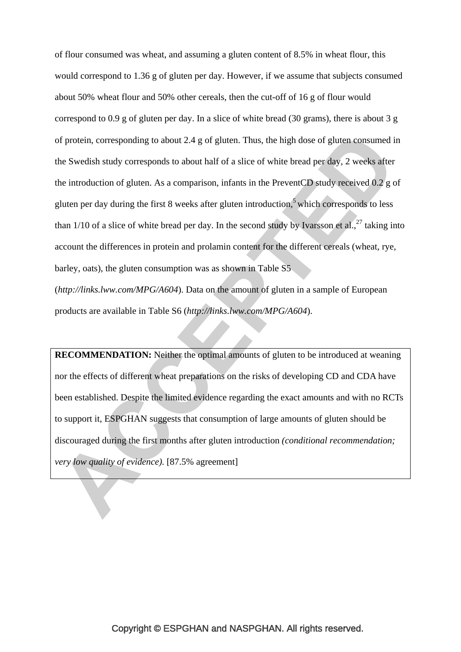of flour consumed was wheat, and assuming a gluten content of 8.5% in wheat flour, this would correspond to 1.36 g of gluten per day. However, if we assume that subjects consumed about 50% wheat flour and 50% other cereals, then the cut-off of 16 g of flour would correspond to 0.9 g of gluten per day. In a slice of white bread (30 grams), there is about 3 g of protein, corresponding to about 2.4 g of gluten. Thus, the high dose of gluten consumed in the Swedish study corresponds to about half of a slice of white bread per day, 2 weeks after the introduction of gluten. As a comparison, infants in the PreventCD study received 0.2 g of gluten per day during the first 8 weeks after gluten introduction,<sup>5</sup> which corresponds to less than  $1/10$  of a slice of white bread per day. In the second study by Ivarsson et al.,  $27$  taking into account the differences in protein and prolamin content for the different cereals (wheat, rye, barley, oats), the gluten consumption was as shown in Table S5 (*http://links.lww.com/MPG/A604*). Data on the amount of gluten in a sample of European

products are available in Table S6 (*http://links.lww.com/MPG/A604*).

**RECOMMENDATION:** Neither the optimal amounts of gluten to be introduced at weaning nor the effects of different wheat preparations on the risks of developing CD and CDA have been established. Despite the limited evidence regarding the exact amounts and with no RCTs to support it, ESPGHAN suggests that consumption of large amounts of gluten should be discouraged during the first months after gluten introduction *(conditional recommendation; very low quality of evidence*). [87.5% agreement]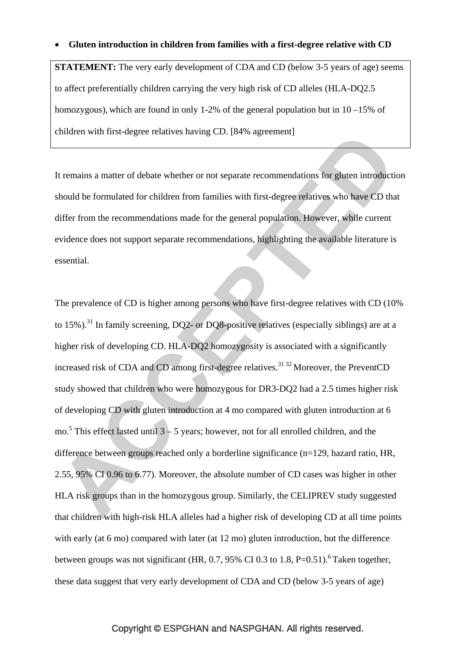#### • **Gluten introduction in children from families with a first-degree relative with CD**

**STATEMENT:** The very early development of CDA and CD (below 3-5 years of age) seems to affect preferentially children carrying the very high risk of CD alleles (HLA-DQ2.5 homozygous), which are found in only 1-2% of the general population but in 10 –15% of children with first-degree relatives having CD. [84% agreement]

It remains a matter of debate whether or not separate recommendations for gluten introduction should be formulated for children from families with first-degree relatives who have CD that differ from the recommendations made for the general population. However, while current evidence does not support separate recommendations, highlighting the available literature is essential.

The prevalence of CD is higher among persons who have first-degree relatives with CD (10% to 15%).<sup>31</sup> In family screening, DQ2- or DQ8-positive relatives (especially siblings) are at a higher risk of developing CD. HLA-DQ2 homozygosity is associated with a significantly increased risk of CDA and CD among first-degree relatives.<sup>31 32</sup> Moreover, the PreventCD study showed that children who were homozygous for DR3-DQ2 had a 2.5 times higher risk of developing CD with gluten introduction at 4 mo compared with gluten introduction at 6 mo.<sup>5</sup> This effect lasted until  $3 - 5$  years; however, not for all enrolled children, and the difference between groups reached only a borderline significance (n=129, hazard ratio, HR, 2.55, 95% CI 0.96 to 6.77). Moreover, the absolute number of CD cases was higher in other HLA risk groups than in the homozygous group. Similarly, the CELIPREV study suggested that children with high-risk HLA alleles had a higher risk of developing CD at all time points with early (at 6 mo) compared with later (at 12 mo) gluten introduction, but the difference between groups was not significant (HR, 0.7, 95% CI 0.3 to 1.8,  $P=0.51$ ).<sup>6</sup> Taken together, these data suggest that very early development of CDA and CD (below 3-5 years of age)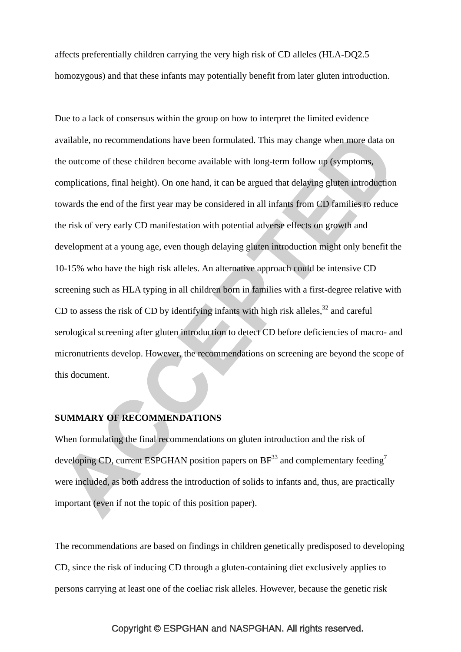affects preferentially children carrying the very high risk of CD alleles (HLA-DQ2.5 homozygous) and that these infants may potentially benefit from later gluten introduction.

Due to a lack of consensus within the group on how to interpret the limited evidence available, no recommendations have been formulated. This may change when more data on the outcome of these children become available with long-term follow up (symptoms, complications, final height). On one hand, it can be argued that delaying gluten introduction towards the end of the first year may be considered in all infants from CD families to reduce the risk of very early CD manifestation with potential adverse effects on growth and development at a young age, even though delaying gluten introduction might only benefit the 10-15% who have the high risk alleles. An alternative approach could be intensive CD screening such as HLA typing in all children born in families with a first-degree relative with CD to assess the risk of CD by identifying infants with high risk alleles,  $32$  and careful serological screening after gluten introduction to detect CD before deficiencies of macro- and micronutrients develop. However, the recommendations on screening are beyond the scope of this document.

## **SUMMARY OF RECOMMENDATIONS**

When formulating the final recommendations on gluten introduction and the risk of developing CD, current ESPGHAN position papers on  $BF^{33}$  and complementary feeding<sup>7</sup> were included, as both address the introduction of solids to infants and, thus, are practically important (even if not the topic of this position paper).

The recommendations are based on findings in children genetically predisposed to developing CD, since the risk of inducing CD through a gluten-containing diet exclusively applies to persons carrying at least one of the coeliac risk alleles. However, because the genetic risk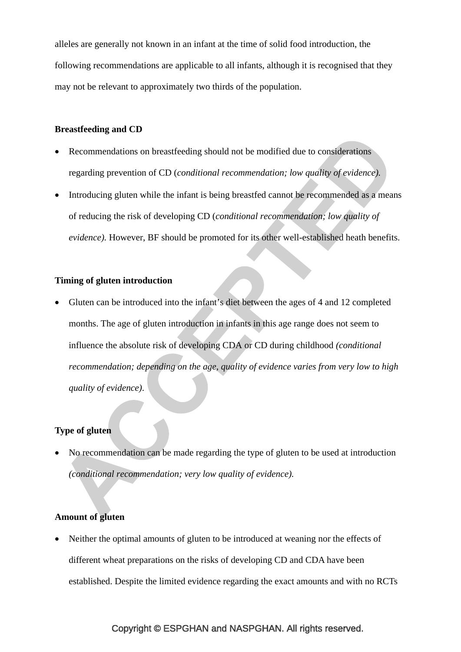alleles are generally not known in an infant at the time of solid food introduction, the following recommendations are applicable to all infants, although it is recognised that they may not be relevant to approximately two thirds of the population.

#### **Breastfeeding and CD**

- Recommendations on breastfeeding should not be modified due to considerations regarding prevention of CD (*conditional recommendation; low quality of evidence).*
- Introducing gluten while the infant is being breastfed cannot be recommended as a means of reducing the risk of developing CD (*conditional recommendation; low quality of evidence).* However, BF should be promoted for its other well-established heath benefits.

## **Timing of gluten introduction**

• Gluten can be introduced into the infant's diet between the ages of 4 and 12 completed months. The age of gluten introduction in infants in this age range does not seem to influence the absolute risk of developing CDA or CD during childhood *(conditional recommendation; depending on the age, quality of evidence varies from very low to high quality of evidence)*.

# **Type of gluten**

• No recommendation can be made regarding the type of gluten to be used at introduction *(conditional recommendation; very low quality of evidence).* 

## **Amount of gluten**

• Neither the optimal amounts of gluten to be introduced at weaning nor the effects of different wheat preparations on the risks of developing CD and CDA have been established. Despite the limited evidence regarding the exact amounts and with no RCTs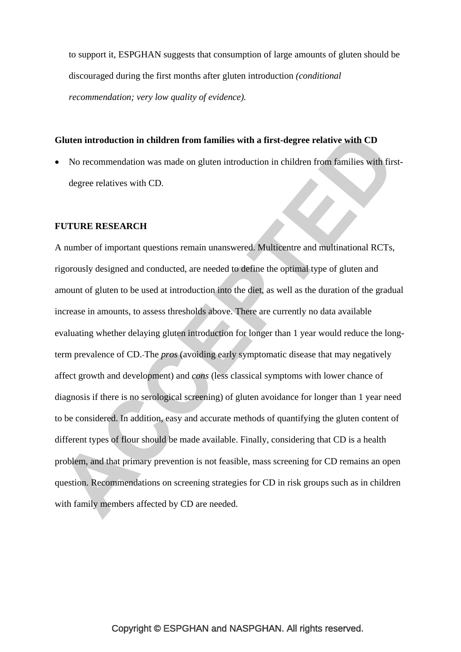to support it, ESPGHAN suggests that consumption of large amounts of gluten should be discouraged during the first months after gluten introduction *(conditional recommendation; very low quality of evidence).* 

#### **Gluten introduction in children from families with a first-degree relative with CD**

• No recommendation was made on gluten introduction in children from families with firstdegree relatives with CD.

**COL** 

#### **FUTURE RESEARCH**

A number of important questions remain unanswered. Multicentre and multinational RCTs, rigorously designed and conducted, are needed to define the optimal type of gluten and amount of gluten to be used at introduction into the diet, as well as the duration of the gradual increase in amounts, to assess thresholds above. There are currently no data available evaluating whether delaying gluten introduction for longer than 1 year would reduce the longterm prevalence of CD. The *pros* (avoiding early symptomatic disease that may negatively affect growth and development) and *cons* (less classical symptoms with lower chance of diagnosis if there is no serological screening) of gluten avoidance for longer than 1 year need to be considered. In addition, easy and accurate methods of quantifying the gluten content of different types of flour should be made available. Finally, considering that CD is a health problem, and that primary prevention is not feasible, mass screening for CD remains an open question. Recommendations on screening strategies for CD in risk groups such as in children with family members affected by CD are needed.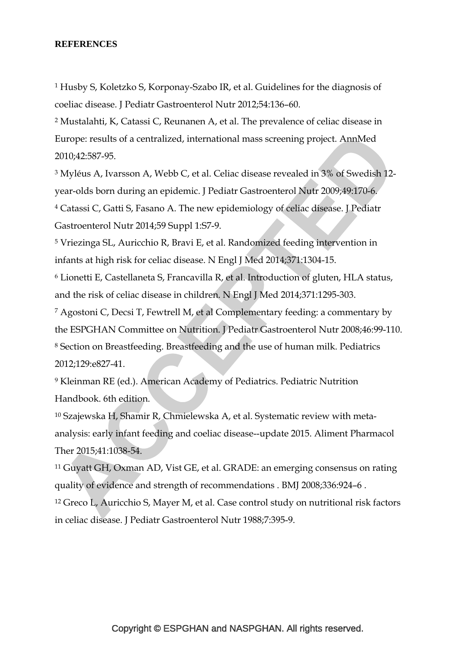#### **REFERENCES**

1 Husby S, Koletzko S, Korponay-Szabo IR, et al. Guidelines for the diagnosis of coeliac disease. J Pediatr Gastroenterol Nutr 2012;54:136–60.

2 Mustalahti, K, Catassi C, Reunanen A, et al. The prevalence of celiac disease in Europe: results of a centralized, international mass screening project. AnnMed 2010;42:587-95.

3 Myléus A, Ivarsson A, Webb C, et al. Celiac disease revealed in 3% of Swedish 12 year-olds born during an epidemic. J Pediatr Gastroenterol Nutr 2009;49:170-6. 4 Catassi C, Gatti S, Fasano A. The new epidemiology of celiac disease. J Pediatr Gastroenterol Nutr 2014;59 Suppl 1:S7-9.

5 Vriezinga SL, Auricchio R, Bravi E, et al. Randomized feeding intervention in infants at high risk for celiac disease. N Engl J Med 2014;371:1304-15.

6 Lionetti E, Castellaneta S, Francavilla R, et al. Introduction of gluten, HLA status, and the risk of celiac disease in children. N Engl J Med 2014;371:1295-303.

7 Agostoni C, Decsi T, Fewtrell M, et al Complementary feeding: a commentary by the ESPGHAN Committee on Nutrition. J Pediatr Gastroenterol Nutr 2008;46:99-110. 8 Section on Breastfeeding. Breastfeeding and the use of human milk. Pediatrics 2012;129:e827-41.

9 Kleinman RE (ed.). American Academy of Pediatrics. Pediatric Nutrition Handbook. 6th edition.

10 Szajewska H, Shamir R, Chmielewska A, et al. Systematic review with metaanalysis: early infant feeding and coeliac disease--update 2015. Aliment Pharmacol Ther 2015;41:1038-54.

11 Guyatt GH, Oxman AD, Vist GE, et al. GRADE: an emerging consensus on rating quality of evidence and strength of recommendations . BMJ 2008;336:924–6 .

12 Greco L, Auricchio S, Mayer M, et al. Case control study on nutritional risk factors in celiac disease. J Pediatr Gastroenterol Nutr 1988;7:395-9.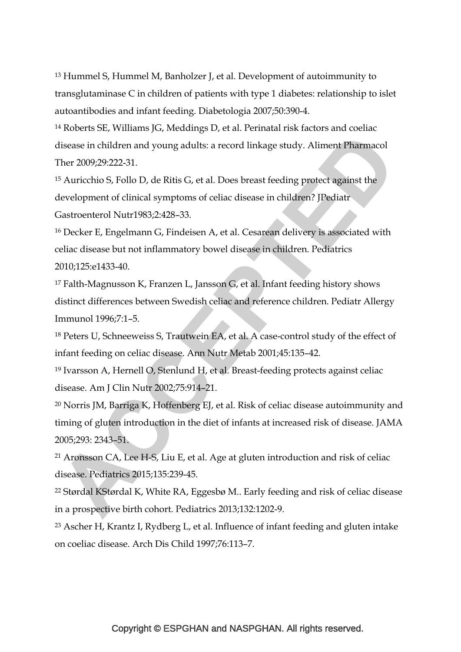13 Hummel S, Hummel M, Banholzer J, et al. Development of autoimmunity to transglutaminase C in children of patients with type 1 diabetes: relationship to islet autoantibodies and infant feeding. Diabetologia 2007;50:390-4.

14 Roberts SE, Williams JG, Meddings D, et al. Perinatal risk factors and coeliac disease in children and young adults: a record linkage study. Aliment Pharmacol Ther 2009;29:222-31.

15 Auricchio S, Follo D, de Ritis G, et al. Does breast feeding protect against the development of clinical symptoms of celiac disease in children? JPediatr Gastroenterol Nutr1983;2:428–33.

16 Decker E, Engelmann G, Findeisen A, et al. Cesarean delivery is associated with celiac disease but not inflammatory bowel disease in children. Pediatrics 2010;125:e1433-40.

17 Falth-Magnusson K, Franzen L, Jansson G, et al. Infant feeding history shows distinct differences between Swedish celiac and reference children. Pediatr Allergy Immunol 1996;7:1–5.

18 Peters U, Schneeweiss S, Trautwein EA, et al. A case-control study of the effect of infant feeding on celiac disease. Ann Nutr Metab 2001;45:135–42.

19 Ivarsson A, Hernell O, Stenlund H, et al. Breast-feeding protects against celiac disease. Am J Clin Nutr 2002;75:914–21.

20 Norris JM, Barriga K, Hoffenberg EJ, et al. Risk of celiac disease autoimmunity and timing of gluten introduction in the diet of infants at increased risk of disease. JAMA 2005;293: 2343–51.

21 Aronsson CA, Lee H-S, Liu E, et al. Age at gluten introduction and risk of celiac disease. Pediatrics 2015;135:239-45.

22 Størdal KStørdal K, White RA, Eggesbø M.. Early feeding and risk of celiac disease in a prospective birth cohort. Pediatrics 2013;132:1202-9.

23 Ascher H, Krantz I, Rydberg L, et al. Influence of infant feeding and gluten intake on coeliac disease. Arch Dis Child 1997;76:113–7.